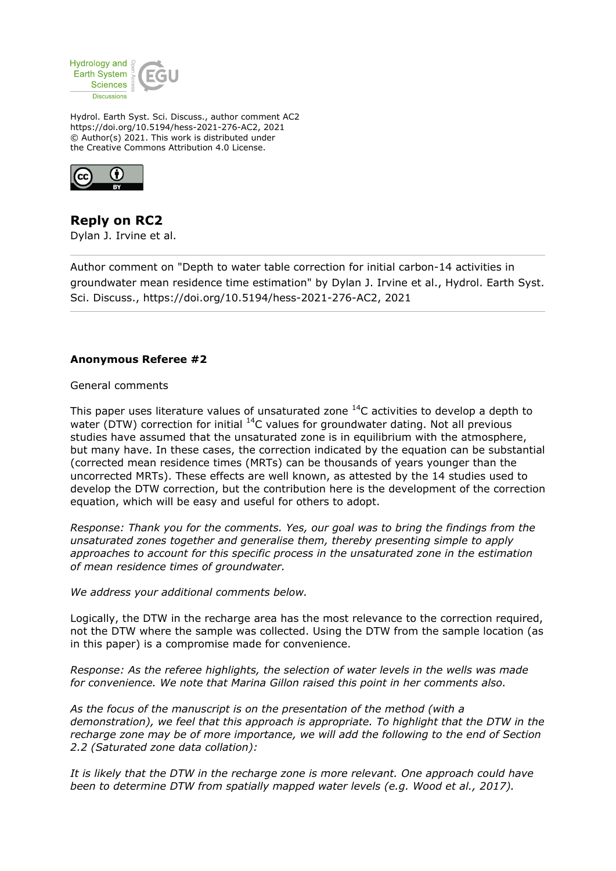

Hydrol. Earth Syst. Sci. Discuss., author comment AC2 https://doi.org/10.5194/hess-2021-276-AC2, 2021 © Author(s) 2021. This work is distributed under the Creative Commons Attribution 4.0 License.



**Reply on RC2** Dylan J. Irvine et al.

Author comment on "Depth to water table correction for initial carbon-14 activities in groundwater mean residence time estimation" by Dylan J. Irvine et al., Hydrol. Earth Syst. Sci. Discuss., https://doi.org/10.5194/hess-2021-276-AC2, 2021

## **Anonymous Referee #2**

General comments

This paper uses literature values of unsaturated zone  $^{14}$ C activities to develop a depth to water (DTW) correction for initial  $^{14}$ C values for groundwater dating. Not all previous studies have assumed that the unsaturated zone is in equilibrium with the atmosphere, but many have. In these cases, the correction indicated by the equation can be substantial (corrected mean residence times (MRTs) can be thousands of years younger than the uncorrected MRTs). These effects are well known, as attested by the 14 studies used to develop the DTW correction, but the contribution here is the development of the correction equation, which will be easy and useful for others to adopt.

*Response: Thank you for the comments. Yes, our goal was to bring the findings from the unsaturated zones together and generalise them, thereby presenting simple to apply approaches to account for this specific process in the unsaturated zone in the estimation of mean residence times of groundwater.*

*We address your additional comments below.*

Logically, the DTW in the recharge area has the most relevance to the correction required, not the DTW where the sample was collected. Using the DTW from the sample location (as in this paper) is a compromise made for convenience.

*Response: As the referee highlights, the selection of water levels in the wells was made for convenience. We note that Marina Gillon raised this point in her comments also.*

*As the focus of the manuscript is on the presentation of the method (with a demonstration), we feel that this approach is appropriate. To highlight that the DTW in the recharge zone may be of more importance, we will add the following to the end of Section 2.2 (Saturated zone data collation):*

*It is likely that the DTW in the recharge zone is more relevant. One approach could have been to determine DTW from spatially mapped water levels (e.g. Wood et al., 2017).*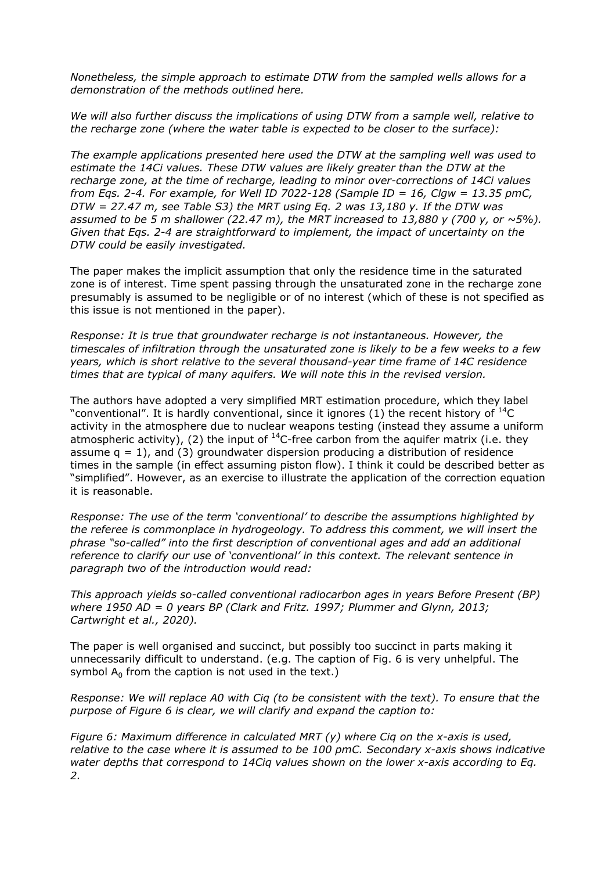*Nonetheless, the simple approach to estimate DTW from the sampled wells allows for a demonstration of the methods outlined here.*

*We will also further discuss the implications of using DTW from a sample well, relative to the recharge zone (where the water table is expected to be closer to the surface):*

*The example applications presented here used the DTW at the sampling well was used to estimate the 14Ci values. These DTW values are likely greater than the DTW at the recharge zone, at the time of recharge, leading to minor over-corrections of 14Ci values from Eqs. 2-4. For example, for Well ID 7022-128 (Sample ID = 16, Clgw = 13.35 pmC, DTW = 27.47 m, see Table S3) the MRT using Eq. 2 was 13,180 y. If the DTW was assumed to be 5 m shallower (22.47 m), the MRT increased to 13,880 y (700 y, or*  $\sim$ *5%). Given that Eqs. 2-4 are straightforward to implement, the impact of uncertainty on the DTW could be easily investigated.*

The paper makes the implicit assumption that only the residence time in the saturated zone is of interest. Time spent passing through the unsaturated zone in the recharge zone presumably is assumed to be negligible or of no interest (which of these is not specified as this issue is not mentioned in the paper).

*Response: It is true that groundwater recharge is not instantaneous. However, the timescales of infiltration through the unsaturated zone is likely to be a few weeks to a few years, which is short relative to the several thousand-year time frame of 14C residence times that are typical of many aquifers. We will note this in the revised version.*

The authors have adopted a very simplified MRT estimation procedure, which they label "conventional". It is hardly conventional, since it ignores (1) the recent history of  ${}^{14}C$ activity in the atmosphere due to nuclear weapons testing (instead they assume a uniform atmospheric activity), (2) the input of  $^{14}$ C-free carbon from the aquifer matrix (i.e. they assume  $q = 1$ ), and (3) groundwater dispersion producing a distribution of residence times in the sample (in effect assuming piston flow). I think it could be described better as "simplified". However, as an exercise to illustrate the application of the correction equation it is reasonable.

*Response: The use of the term 'conventional' to describe the assumptions highlighted by the referee is commonplace in hydrogeology. To address this comment, we will insert the phrase "so-called" into the first description of conventional ages and add an additional reference to clarify our use of 'conventional' in this context. The relevant sentence in paragraph two of the introduction would read:*

*This approach yields so-called conventional radiocarbon ages in years Before Present (BP) where 1950 AD = 0 years BP (Clark and Fritz. 1997; Plummer and Glynn, 2013; Cartwright et al., 2020).*

The paper is well organised and succinct, but possibly too succinct in parts making it unnecessarily difficult to understand. (e.g. The caption of Fig. 6 is very unhelpful. The symbol  $A_0$  from the caption is not used in the text.)

*Response: We will replace A0 with Ciq (to be consistent with the text). To ensure that the purpose of Figure 6 is clear, we will clarify and expand the caption to:*

*Figure 6: Maximum difference in calculated MRT (y) where Ciq on the x-axis is used, relative to the case where it is assumed to be 100 pmC. Secondary x-axis shows indicative water depths that correspond to 14Ciq values shown on the lower x-axis according to Eq. 2.*